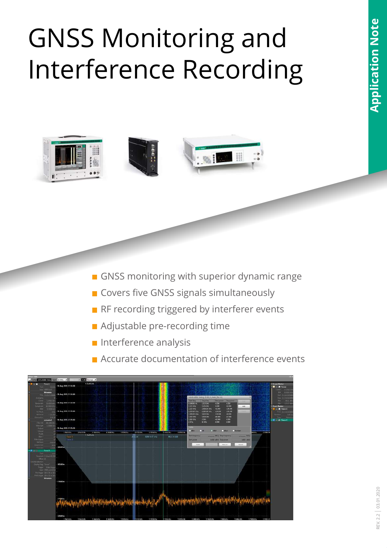# <span id="page-0-0"></span>GNSS Monitoring and Interference Recording



- GNSS monitoring with superior dynamic range
- Covers five GNSS signals simultaneously
- RF recording triggered by interferer events
- **Adjustable pre-recording time**
- $\blacksquare$  Interference analysis
- Accurate documentation of interference events

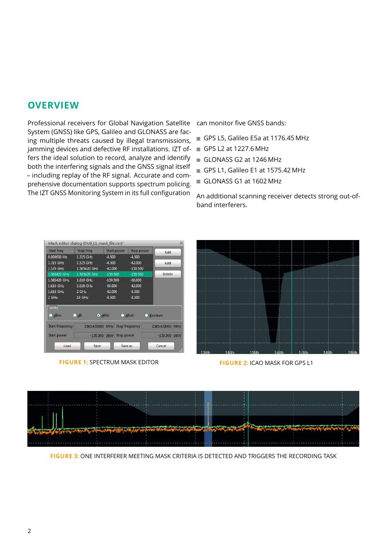## **OVERVIEW**

Professional receivers for Global Navigation Satellite System (GNSS) like GPS, Galileo and GLONASS are facing multiple threats caused by illegal transmissions, jamming devices and defective RF installations. IZT offers the ideal solution to record, analyze and identify both the interfering signals and the GNSS signal itself – including replay of the RF signal. Accurate and comprehensive documentation supports spectrum policing. The IZT GNSS Monitoring System in its full configuration

can monitor five GNSS bands:

- GPS L5, Galileo E5a at 1176.45 MHz
- GPS L2 at 1227.6 MHz
- GLONASS G2 at 1246 MHz
- GPS L1, Galileo E1 at 1575.42 MHz
- GLONASS G1 at 1602 MHz

An additional scanning receiver detects strong out-ofband interferers.

|                         | Mask editor dialog (DUB_L1_mask_file.csv)* |             |                                |                |                 |
|-------------------------|--------------------------------------------|-------------|--------------------------------|----------------|-----------------|
| <b>Start freq</b>       | Stop freq                                  | Start power | Stop power                     |                | Edit            |
| 0.000000 Hz             | 1.315 GHz                                  | $-4.500$    | $-4.500$                       |                |                 |
| 1.315 GHz               | 1.525 GHz                                  | $-4.500$    | $-42,000$                      |                | Add             |
| 1.525 GHz               | 1.565420 GHz                               | $-42,000$   | $-150.500$                     |                |                 |
| 1.565420 GHz            | 1.585420 GHz                               | $-150.500$  | $-150.500$                     |                | Delete          |
| 1.585420 GHz            | 1.610 GHz                                  | $-150.500$  | $-60.000$                      |                |                 |
| 1.610 GHz               | 1.618 GHz                                  | $-60.000$   | $-42,000$                      |                |                 |
| 1.618 GHz               | $2$ GHz                                    | $-42.000$   | $-8.500$                       |                |                 |
| $2$ GHz                 | 18 GHz                                     | $-8.500$    | $-8,500$                       |                |                 |
| <b>Units</b><br>$O$ dBm | $O$ dB                                     | $O$ dBW     | $O$ dBuV                       | <b>Boolean</b> |                 |
| <b>Start frequency</b>  |                                            |             | 1565.420000 MHz Stop frequency |                | 1585.420000 MHz |
| Start power             |                                            |             | -150.500 dBW Stop power        |                | $-150,500$ dBW  |
| Load                    | Save                                       |             | Save as                        | Cancel         |                 |

**FIGURE 1:** SPECTRUM MASK EDITOR **FIGURE 2:** ICAO MASK FOR GPS L1





**FIGURE 3:** ONE INTERFERER MEETING MASK CRITERIA IS DETECTED AND TRIGGERS THE RECORDING TASK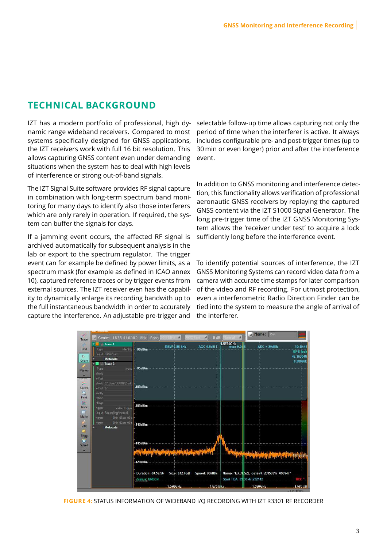## **TECHNICAL BACKGROUND**

IZT has a modern portfolio of professional, high dynamic range wideband receivers. Compared to most systems specifically designed for GNSS applications, the IZT receivers work with full 16 bit resolution. This allows capturing GNSS content even under demanding situations when the system has to deal with high levels of interference or strong out-of-band signals.

The IZT Signal Suite software provides RF signal capture in combination with long-term spectrum band monitoring for many days to identify also those interferers which are only rarely in operation. If required, the system can buffer the signals for days.

If a jamming event occurs, the affected RF signal is archived automatically for subsequent analysis in the lab or export to the spectrum regulator. The trigger event can for example be defined by power limits, as a spectrum mask (for example as defined in ICAO annex 10), captured reference traces or by trigger events from external sources. The IZT receiver even has the capability to dynamically enlarge its recording bandwith up to the full instantaneous bandwidth in order to accurately capture the interference. An adjustable pre-trigger and

selectable follow-up time allows capturing not only the period of time when the interferer is active. It always includes configurable pre- and post-trigger times (up to 30 min or even longer) prior and after the interference event.

In addition to GNSS monitoring and interference detection, this functionality allows verification of professional aeronautic GNSS receivers by replaying the captured GNSS content via the IZT S1000 Signal Generator. The long pre-trigger time of the IZT GNSS Monitoring System allows the 'receiver under test' to acquire a lock sufficiently long before the interference event.

To identify potential sources of interference, the IZT GNSS Monitoring Systems can record video data from a camera with accurate time stamps for later comparison of the video and RF recording. For utmost protection, even a interferometric Radio Direction Finder can be tied into the system to measure the angle of arrival of the interferer.



**FIGURE 4:** STATUS INFORMATION OF WIDEBAND I/Q RECORDING WITH IZT R3301 RF RECORDER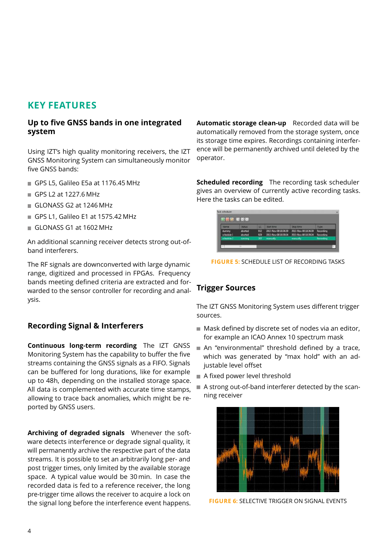## **KEY FEATURES**

#### **Up to five GNSS bands in one integrated system**

Using IZT's high quality monitoring receivers, the IZT GNSS Monitoring System can simultaneously monitor five GNSS bands:

- GPS L5, Galileo E5a at 1176.45 MHz
- GPS L2 at 1227.6 MHz
- GLONASS G2 at 1246 MHz
- GPS L1, Galileo E1 at 1575.42 MHz
- GLONASS G1 at 1602 MHz

An additional scanning receiver detects strong out-ofband interferers.

The RF signals are downconverted with large dynamic range, digitized and processed in FPGAs. Frequency bands meeting defined criteria are extracted and forwarded to the sensor controller for recording and analysis.

#### **Recording Signal & Interferers**

**Continuous long-term recording** The IZT GNSS Monitoring System has the capability to buffer the five streams containing the GNSS signals as a FIFO. Signals can be buffered for long durations, like for example up to 48h, depending on the installed storage space. All data is complemented with accurate time stamps, allowing to trace back anomalies, which might be reported by GNSS users.

**Archiving of degraded signals** Whenever the software detects interference or degrade signal quality, it will permanently archive the respective part of the data streams. It is possible to set an arbitrarily long per- and post trigger times, only limited by the available storage space. A typical value would be 30 min. In case the recorded data is fed to a reference receiver, the long pre-trigger time allows the receiver to acquire a lock on the signal long before the interference event happens.

**Automatic storage clean-up** Recorded data will be automatically removed from the storage system, once its storage time expires. Recordings containing interference will be permanently archived until deleted by the operator.

**Scheduled recording** The recording task scheduler gives an overview of currently active recording tasks. Here the tasks can be edited.

| 'Marne              | <b>Status:</b>     | is.        | <b>Start time</b>                            | <b>Stop time</b>                             | Type                   |
|---------------------|--------------------|------------|----------------------------------------------|----------------------------------------------|------------------------|
| dummy<br>schedule 1 | aborted<br>aborted | 932<br>929 | 2013-Nov-08 18:36:39<br>2013-Nov-08 18:39:24 | 2013-Nov-06 18:36:39<br>2013-Nov-08 18:39:24 | Recording<br>Recording |
| schedule 2          | tunning            | 307        | manually                                     | marazally                                    | Recording              |

#### **FIGURE 5:** SCHEDULE LIST OF RECORDING TASKS

#### **Trigger Sources**

The IZT GNSS Monitoring System uses different trigger sources.

- Mask defined by discrete set of nodes via an editor, for example an ICAO Annex 10 spectrum mask
- An "environmental" threshold defined by a trace, which was generated by "max hold" with an adjustable level offset
- A fixed power level threshold
- A strong out-of-band interferer detected by the scanning receiver



**FIGURE 6:** SELECTIVE TRIGGER ON SIGNAL EVENTS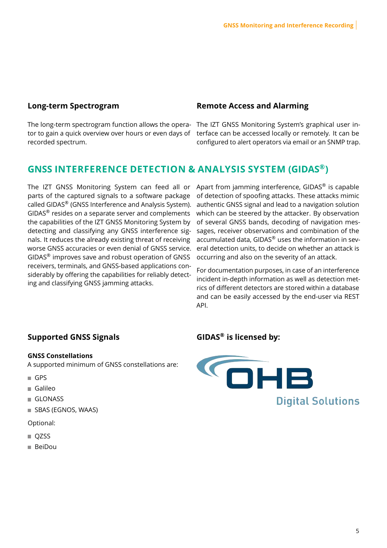#### **Long-term Spectrogram**

tor to gain a quick overview over hours or even days of recorded spectrum.

#### **Remote Access and Alarming**

The long-term spectrogram function allows the opera- The IZT GNSS Monitoring System's graphical user interface can be accessed locally or remotely. It can be configured to alert operators via email or an SNMP trap.

## **GNSS INTERFERENCE DETECTION & ANALYSIS SYSTEM (GIDAS®)**

parts of the captured signals to a software package called GIDAS® (GNSS Interference and Analysis System). GIDAS® resides on a separate server and complements the capabilities of the IZT GNSS Monitoring System by detecting and classifying any GNSS interference signals. It reduces the already existing threat of receiving worse GNSS accuracies or even denial of GNSS service. GIDAS® improves save and robust operation of GNSS receivers, terminals, and GNSS-based applications considerably by offering the capabilities for reliably detecting and classifying GNSS jamming attacks.

The IZT GNSS Monitoring System can feed all or Apart from jamming interference, GIDAS® is capable of detection of spoofing attacks. These attacks mimic authentic GNSS signal and lead to a navigation solution which can be steered by the attacker. By observation of several GNSS bands, decoding of navigation messages, receiver observations and combination of the accumulated data, GIDAS® uses the information in several detection units, to decide on whether an attack is occurring and also on the severity of an attack.

> For documentation purposes, in case of an interference incident in-depth information as well as detection metrics of different detectors are stored within a database and can be easily accessed by the end-user via REST API.

#### **Supported GNSS Signals**

#### **GNSS Constellations**

A supported minimum of GNSS constellations are:

- GPS
- Galileo
- GLONASS
- SBAS (EGNOS, WAAS)

Optional:

- OZSS
- BeiDou

#### **GIDAS® is licensed by:**

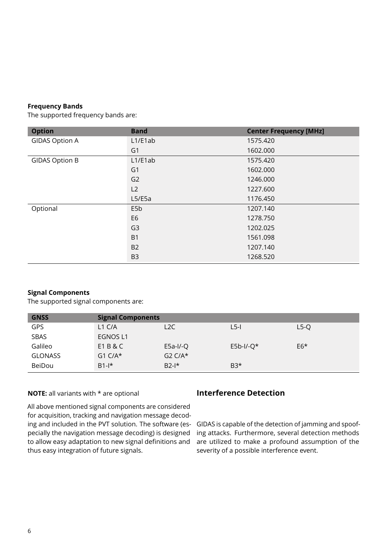#### **Frequency Bands**

The supported frequency bands are:

| <b>Option</b>         | <b>Band</b>      | <b>Center Frequency [MHz]</b> |
|-----------------------|------------------|-------------------------------|
| <b>GIDAS Option A</b> | L1/E1ab          | 1575.420                      |
|                       | G <sub>1</sub>   | 1602.000                      |
| <b>GIDAS Option B</b> | L1/E1ab          | 1575.420                      |
|                       | G <sub>1</sub>   | 1602.000                      |
|                       | G <sub>2</sub>   | 1246.000                      |
|                       | L2               | 1227.600                      |
|                       | L5/E5a           | 1176.450                      |
| Optional              | E <sub>5</sub> b | 1207.140                      |
|                       | E <sub>6</sub>   | 1278.750                      |
|                       | G <sub>3</sub>   | 1202.025                      |
|                       | <b>B1</b>        | 1561.098                      |
|                       | <b>B2</b>        | 1207.140                      |
|                       | B <sub>3</sub>   | 1268.520                      |

#### **Signal Components**

The supported signal components are:

| <b>GNSS</b>    | <b>Signal Components</b> |                  |             |        |
|----------------|--------------------------|------------------|-------------|--------|
| GPS            | L <sub>1</sub> $C/A$     | L <sub>2</sub> C | $L5$ -I     | $L5-Q$ |
| SBAS           | EGNOS L1                 |                  |             |        |
| Galileo        | E1 B & C                 | $E5a-I/-Q$       | $E5b-1/-Q*$ | $E6*$  |
| <b>GLONASS</b> | $G1 C/A*$                | $G2 C/A*$        |             |        |
| BeiDou         | $B1 - k$                 | $B2-1*$          | $B3*$       |        |

#### **NOTE:** all variants with \* are optional

All above mentioned signal components are considered for acquisition, tracking and navigation message decoding and included in the PVT solution. The software (especially the navigation message decoding) is designed to allow easy adaptation to new signal definitions and thus easy integration of future signals.

#### **Interference Detection**

GIDAS is capable of the detection of jamming and spoofing attacks. Furthermore, several detection methods are utilized to make a profound assumption of the severity of a possible interference event.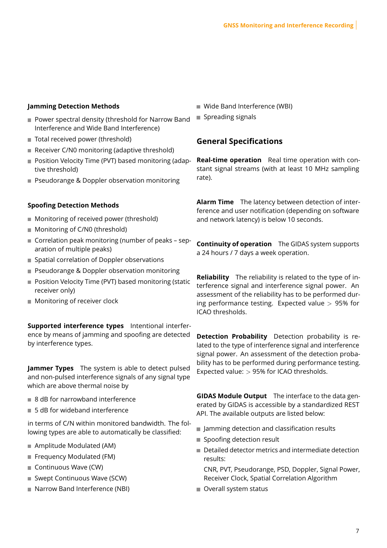#### **Jamming Detection Methods**

- Power spectral density (threshold for Narrow Band Interference and Wide Band Interference)
- Total received power (threshold)
- Receiver C/N0 monitoring (adaptive threshold)
- Position Velocity Time (PVT) based monitoring (adaptive threshold)
- Pseudorange & Doppler observation monitoring

#### **Spoofing Detection Methods**

- **Monitoring of received power (threshold)**
- **Monitoring of C/N0 (threshold)**
- Correlation peak monitoring (number of peaks separation of multiple peaks)
- Spatial correlation of Doppler observations
- Pseudorange & Doppler observation monitoring
- Position Velocity Time (PVT) based monitoring (static receiver only)
- **Monitoring of receiver clock**

**Supported interference types** Intentional interference by means of jamming and spoofing are detected by interference types.

**Jammer Types** The system is able to detect pulsed and non-pulsed interference signals of any signal type which are above thermal noise by

- 8 dB for narrowband interference
- $\blacksquare$  5 dB for wideband interference

in terms of C/N within monitored bandwidth. The following types are able to automatically be classified:

- **Amplitude Modulated (AM)**
- Frequency Modulated (FM)
- Continuous Wave (CW)
- Swept Continuous Wave (SCW)
- Narrow Band Interference (NBI)
- Wide Band Interference (WBI)
- Spreading signals

#### **General Specifications**

**Real-time operation** Real time operation with constant signal streams (with at least 10 MHz sampling rate).

**Alarm Time** The latency between detection of interference and user notification (depending on software and network latency) is below 10 seconds.

**Continuity of operation** The GIDAS system supports a 24 hours / 7 days a week operation.

**Reliability** The reliability is related to the type of interference signal and interference signal power. An assessment of the reliability has to be performed during performance testing. Expected value  $> 95%$  for ICAO thresholds.

**Detection Probability** Detection probability is related to the type of interference signal and interference signal power. An assessment of the detection probability has to be performed during performance testing. Expected value: > 95% for ICAO thresholds.

**GIDAS Module Output** The interface to the data generated by GIDAS is accessible by a standardized REST API. The available outputs are listed below:

- Jamming detection and classification results
- Spoofing detection result
- Detailed detector metrics and intermediate detection results:

CNR, PVT, Pseudorange, PSD, Doppler, Signal Power, Receiver Clock, Spatial Correlation Algorithm

Overall system status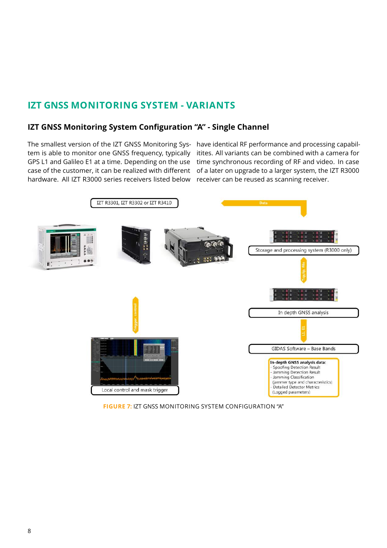# **IZT GNSS MONITORING SYSTEM - VARIANTS**

#### **IZT GNSS Monitoring System Configuration "A" - Single Channel**

tem is able to monitor one GNSS frequency, typically itites. All variants can be combined with a camera for GPS L1 and Galileo E1 at a time. Depending on the use time synchronous recording of RF and video. In case case of the customer, it can be realized with different of a later on upgrade to a larger system, the IZT R3000 hardware. All IZT R3000 series receivers listed below receiver can be reused as scanning receiver.

The smallest version of the IZT GNSS Monitoring Sys-have identical RF performance and processing capabil-



**FIGURE 7:** IZT GNSS MONITORING SYSTEM CONFIGURATION "A"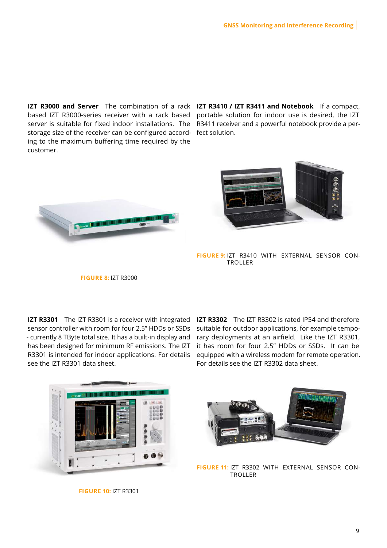based IZT R3000-series receiver with a rack based portable solution for indoor use is desired, the IZT server is suitable for fixed indoor installations. The R3411 receiver and a powerful notebook provide a perstorage size of the receiver can be configured accord-fect solution. ing to the maximum buffering time required by the customer.

**IZT R3000 and Server** The combination of a rack **IZT R3410 / IZT R3411 and Notebook** If a compact,





**FIGURE 9:** IZT R3410 WITH EXTERNAL SENSOR CON-TROLLER

**FIGURE 8:** IZT R3000

**IZT R3301** The IZT R3301 is a receiver with integrated sensor controller with room for four 2.5" HDDs or SSDs - currently 8 TByte total size. It has a built-in display and has been designed for minimum RF emissions. The IZT R3301 is intended for indoor applications. For details see the IZT R3301 data sheet.

**IZT R3302** The IZT R3302 is rated IP54 and therefore suitable for outdoor applications, for example temporary deployments at an airfield. Like the IZT R3301, it has room for four 2.5" HDDs or SSDs. It can be equipped with a wireless modem for remote operation. For details see the IZT R3302 data sheet.



**FIGURE 10:** IZT R3301



**FIGURE 11:** IZT R3302 WITH EXTERNAL SENSOR CON-TROLLER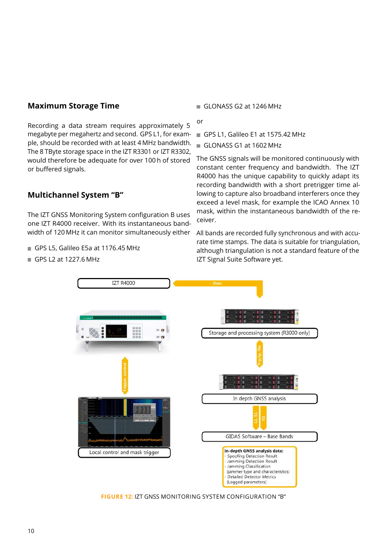#### **Maximum Storage Time**

Recording a data stream requires approximately 5 megabyte per megahertz and second. GPS L1, for example, should be recorded with at least 4 MHz bandwidth. The 8 TByte storage space in the IZT R3301 or IZT R3302, would therefore be adequate for over 100 h of stored or buffered signals.

#### **Multichannel System "B"**

The IZT GNSS Monitoring System configuration B uses one IZT R4000 receiver. With its instantaneous bandwidth of 120 MHz it can monitor simultaneously either

GPS L5, Galileo E5a at 1176.45 MHz

GPS L2 at 1227.6 MHz

 $\blacksquare$  GLONASS G2 at 1246 MHz

#### or

- GPS L1, Galileo E1 at 1575.42 MHz
- GLONASS G1 at 1602 MHz

The GNSS signals will be monitored continuously with constant center frequency and bandwidth. The IZT R4000 has the unique capability to quickly adapt its recording bandwidth with a short pretrigger time allowing to capture also broadband interferers once they exceed a level mask, for example the ICAO Annex 10 mask, within the instantaneous bandwidth of the receiver.

All bands are recorded fully synchronous and with accurate time stamps. The data is suitable for triangulation, although triangulation is not a standard feature of the IZT Signal Suite Software yet.



**FIGURE 12:** IZT GNSS MONITORING SYSTEM CONFIGURATION "B"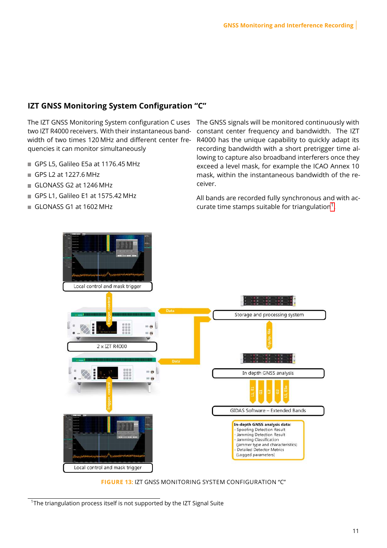### **IZT GNSS Monitoring System Configuration "C"**

two IZT R4000 receivers. With their instantaneous bandwidth of two times 120 MHz and different center frequencies it can monitor simultaneously

- GPS L5, Galileo E5a at 1176.45 MHz
- GPS L2 at 1227.6 MHz
- GLONASS G2 at 1246 MHz
- GPS L1, Galileo E1 at 1575.42 MHz
- GLONASS G1 at 1602 MHz

The IZT GNSS Monitoring System configuration C uses The GNSS signals will be monitored continuously with constant center frequency and bandwidth. The IZT R4000 has the unique capability to quickly adapt its recording bandwidth with a short pretrigger time allowing to capture also broadband interferers once they exceed a level mask, for example the ICAO Annex 10 mask, within the instantaneous bandwidth of the receiver.

> All bands are recorded fully synchronous and with accurate time stamps suitable for triangulation $1$ .



**FIGURE 13:** IZT GNSS MONITORING SYSTEM CONFIGURATION "C"

<span id="page-10-0"></span> $1$ The triangulation process itself is not supported by the IZT Signal Suite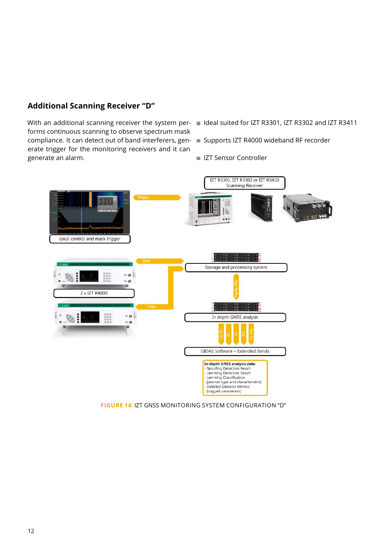#### **Additional Scanning Receiver "D"**

With an additional scanning receiver the system per-  $\blacksquare$  Ideal suited for IZT R3301, IZT R3302 and IZT R3411 forms continuous scanning to observe spectrum mask compliance. It can detect out of band interferers, generate trigger for the monitoring receivers and it can generate an alarm.

- 
- Supports IZT R4000 wideband RF recorder
- IZT Sensor Controller



**FIGURE 14:** IZT GNSS MONITORING SYSTEM CONFIGURATION "D"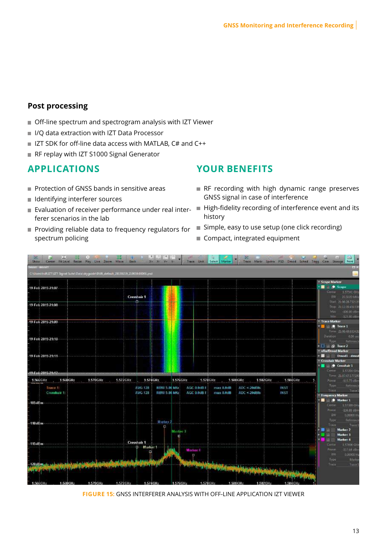#### **Post processing**

- Off-line spectrum and spectrogram analysis with IZT Viewer
- I I/Q data extraction with IZT Data Processor
- $\blacksquare$  IZT SDK for off-line data access with MATLAB, C# and C++
- RF replay with IZT S1000 Signal Generator

## **APPLICATIONS**

- **Protection of GNSS bands in sensitive areas**
- I Identifying interferer sources
- Evaluation of receiver performance under real interferer scenarios in the lab
- Providing reliable data to frequency regulators for spectrum policing
- **YOUR BENEFITS**
- RF recording with high dynamic range preserves GNSS signal in case of interference
- High-fidelity recording of interference event and its history
- Simple, easy to use setup (one click recording)
- Compact, integrated equipment



**FIGURE 15:** GNSS INTERFERER ANALYSIS WITH OFF-LINE APPLICATION IZT VIEWER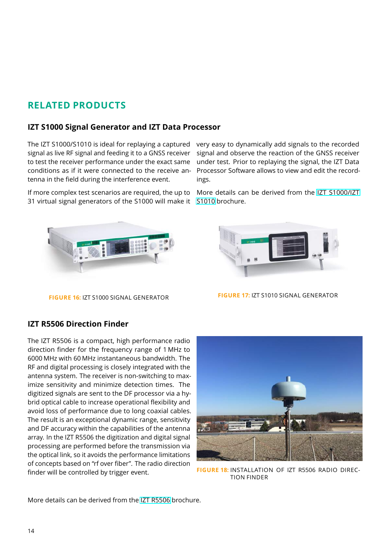# **RELATED PRODUCTS**

#### **IZT S1000 Signal Generator and IZT Data Processor**

The IZT S1000/S1010 is ideal for replaying a captured very easy to dynamically add signals to the recorded signal as live RF signal and feeding it to a GNSS receiver to test the receiver performance under the exact same conditions as if it were connected to the receive antenna in the field during the interference event.

If more complex test scenarios are required, the up to More details can be derived from the [IZT S1000/IZT](https://www.izt-labs.de/izt/media/IZT-S1000-S1010-multi-channel-signal-generator.pdf) 31 virtual signal generators of the S1000 will make it [S1010](https://www.izt-labs.de/izt/media/IZT-S1000-S1010-multi-channel-signal-generator.pdf) brochure.

signal and observe the reaction of the GNSS receiver under test. Prior to replaying the signal, the IZT Data Processor Software allows to view and edit the recordings.





**FIGURE 16:** IZT S1000 SIGNAL GENERATOR **FIGURE 17:** IZT S1010 SIGNAL GENERATOR

#### **IZT R5506 Direction Finder**

The IZT R5506 is a compact, high performance radio direction finder for the frequency range of 1 MHz to 6000 MHz with 60 MHz instantaneous bandwidth. The RF and digital processing is closely integrated with the antenna system. The receiver is non-switching to maximize sensitivity and minimize detection times. The digitized signals are sent to the DF processor via a hybrid optical cable to increase operational flexibility and avoid loss of performance due to long coaxial cables. The result is an exceptional dynamic range, sensitivity and DF accuracy within the capabilities of the antenna array. In the IZT R5506 the digitization and digital signal processing are performed before the transmission via the optical link, so it avoids the performance limitations of concepts based on "rf over fiber". The radio direction finder will be controlled by trigger event. **FIGURE 18:** INSTALLATION OF IZT R5506 RADIO DIREC-



TION FINDER

More details can be derived from the [IZT R5506](https://www.izt-labs.de/izt/media/IZT-R5506-RDF-Direction-Finder.pdf) brochure.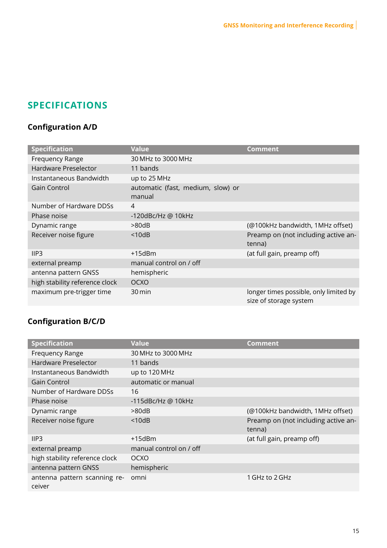# **SPECIFICATIONS**

# **Configuration A/D**

| <b>Specification</b>           | <b>Value</b>                                | Comment                                                          |
|--------------------------------|---------------------------------------------|------------------------------------------------------------------|
| Frequency Range                | 30 MHz to 3000 MHz                          |                                                                  |
| Hardware Preselector           | 11 bands                                    |                                                                  |
| Instantaneous Bandwidth        | up to 25 MHz                                |                                                                  |
| Gain Control                   | automatic (fast, medium, slow) or<br>manual |                                                                  |
| Number of Hardware DDSs        | 4                                           |                                                                  |
| Phase noise                    | $-120$ dBc/Hz @ 10kHz                       |                                                                  |
| Dynamic range                  | >80dB                                       | (@100kHz bandwidth, 1MHz offset)                                 |
| Receiver noise figure          | $<$ 10dB                                    | Preamp on (not including active an-<br>tenna)                    |
| IIP3                           | $+15$ dBm                                   | (at full gain, preamp off)                                       |
| external preamp                | manual control on / off                     |                                                                  |
| antenna pattern GNSS           | hemispheric                                 |                                                                  |
| high stability reference clock | <b>OCXO</b>                                 |                                                                  |
| maximum pre-trigger time       | 30 min                                      | longer times possible, only limited by<br>size of storage system |

# **Configuration B/C/D**

| <b>Specification</b>                   | <b>Value</b>            | Comment                                       |
|----------------------------------------|-------------------------|-----------------------------------------------|
| Frequency Range                        | 30 MHz to 3000 MHz      |                                               |
| <b>Hardware Preselector</b>            | 11 bands                |                                               |
| Instantaneous Bandwidth                | up to 120 MHz           |                                               |
| Gain Control                           | automatic or manual     |                                               |
| Number of Hardware DDSs                | 16                      |                                               |
| Phase noise                            | -115dBc/Hz @ 10kHz      |                                               |
| Dynamic range                          | >80dB                   | (@100kHz bandwidth, 1MHz offset)              |
| Receiver noise figure                  | < 10dB                  | Preamp on (not including active an-<br>tenna) |
| IIP <sub>3</sub>                       | $+15$ dBm               | (at full gain, preamp off)                    |
| external preamp                        | manual control on / off |                                               |
| high stability reference clock         | <b>OCXO</b>             |                                               |
| antenna pattern GNSS                   | hemispheric             |                                               |
| antenna pattern scanning re-<br>ceiver | omni                    | 1 GHz to 2 GHz                                |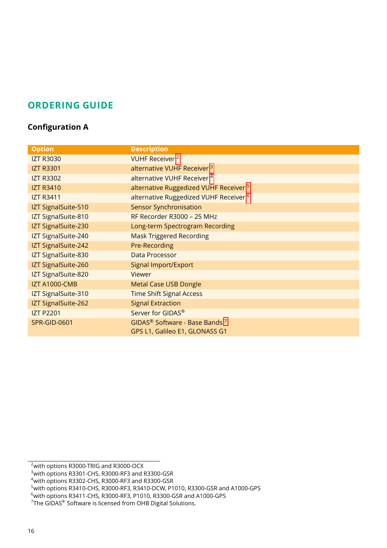# **ORDERING GUIDE**

## **Configuration A**

| <b>Option</b>        | <b>Description</b>                                                                      |
|----------------------|-----------------------------------------------------------------------------------------|
| <b>IZT R3030</b>     | VUHF Receiver <sup>2</sup>                                                              |
| <b>IZT R3301</b>     | alternative VUHF Receiver 3                                                             |
| <b>IZT R3302</b>     | alternative VUHF Receiver <sup>4</sup>                                                  |
| <b>IZT R3410</b>     | alternative Ruggedized VUHF Receiver <sup>5</sup>                                       |
| <b>IZT R3411</b>     | alternative Ruggedized VUHF Receiver <sup>6</sup>                                       |
| IZT SignalSuite-510  | <b>Sensor Synchronisation</b>                                                           |
| IZT SignalSuite-810  | RF Recorder R3000 - 25 MHz                                                              |
| IZT SignalSuite-230  | Long-term Spectrogram Recording                                                         |
| IZT SignalSuite-240  | <b>Mask Triggered Recording</b>                                                         |
| IZT SignalSuite-242  | Pre-Recording                                                                           |
| IZT SignalSuite-830  | Data Processor                                                                          |
| IZT SignalSuite-260  | Signal Import/Export                                                                    |
| IZT SignalSuite-820  | Viewer                                                                                  |
| <b>IZT A1000-CMB</b> | <b>Metal Case USB Dongle</b>                                                            |
| IZT SignalSuite-310  | <b>Time Shift Signal Access</b>                                                         |
| IZT SignalSuite-262  | <b>Signal Extraction</b>                                                                |
| <b>IZT P2201</b>     | Server for GIDAS®                                                                       |
| <b>SPR-GID-0601</b>  | GIDAS <sup>®</sup> Software - Base Bands <sup>7</sup><br>GPS L1, Galileo E1, GLONASS G1 |

<sup>2</sup>with options R3000-TRIG and R3000-OCX

<sup>3</sup>with options R3301-CHS, R3000-RF3 and R3300-GSR

<sup>4</sup>with options R3302-CHS, R3000-RF3 and R3300-GSR

<sup>5</sup>with options R3410-CHS, R3000-RF3, R3410-DCW, P1010, R3300-GSR and A1000-GPS

<sup>6</sup>with options R3411-CHS, R3000-RF3, P1010, R3300-GSR and A1000-GPS

 $7$ The GIDAS $^{\circ}$  Software is licensed from OHB Digital Solutions.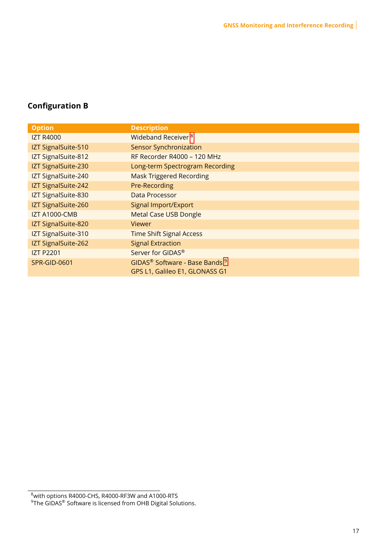# **Configuration B**

| <b>Option</b>        | <b>Description</b>                                    |
|----------------------|-------------------------------------------------------|
| <b>IZT R4000</b>     | Wideband Receiver <sup>8</sup>                        |
| IZT SignalSuite-510  | <b>Sensor Synchronization</b>                         |
| IZT SignalSuite-812  | RF Recorder R4000 - 120 MHz                           |
| IZT SignalSuite-230  | Long-term Spectrogram Recording                       |
| IZT SignalSuite-240  | <b>Mask Triggered Recording</b>                       |
| IZT SignalSuite-242  | Pre-Recording                                         |
| IZT SignalSuite-830  | Data Processor                                        |
| IZT SignalSuite-260  | Signal Import/Export                                  |
| <b>IZT A1000-CMB</b> | <b>Metal Case USB Dongle</b>                          |
| IZT SignalSuite-820  | Viewer                                                |
| IZT SignalSuite-310  | <b>Time Shift Signal Access</b>                       |
| IZT SignalSuite-262  | <b>Signal Extraction</b>                              |
| <b>IZT P2201</b>     | Server for GIDAS®                                     |
| <b>SPR-GID-0601</b>  | GIDAS <sup>®</sup> Software - Base Bands <sup>9</sup> |
|                      | GPS L1, Galileo E1, GLONASS G1                        |

<sup>&</sup>lt;sup>8</sup>with options R4000-CHS, R4000-RF3W and A1000-RTS<br><sup>9</sup>The GIDAS® Software is licensed from OHB Digital Solutions.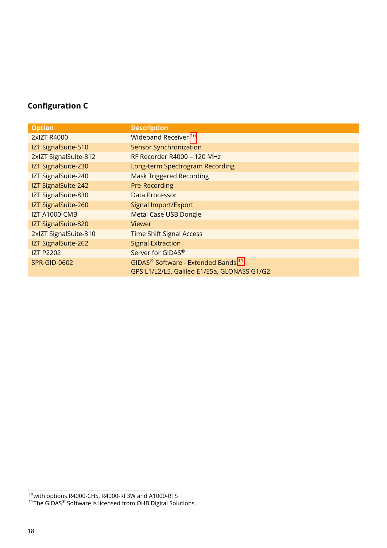# **Configuration C**

| <b>Option</b>         | <b>Description</b>                                         |
|-----------------------|------------------------------------------------------------|
| 2xIZT R4000           | Wideband Receiver <sup>10</sup>                            |
| IZT SignalSuite-510   | <b>Sensor Synchronization</b>                              |
| 2xIZT SignalSuite-812 | RF Recorder R4000 - 120 MHz                                |
| IZT SignalSuite-230   | Long-term Spectrogram Recording                            |
| IZT SignalSuite-240   | <b>Mask Triggered Recording</b>                            |
| IZT SignalSuite-242   | Pre-Recording                                              |
| IZT SignalSuite-830   | Data Processor                                             |
| IZT SignalSuite-260   | Signal Import/Export                                       |
| <b>IZT A1000-CMB</b>  | <b>Metal Case USB Dongle</b>                               |
| IZT SignalSuite-820   | Viewer                                                     |
| 2xIZT SignalSuite-310 | <b>Time Shift Signal Access</b>                            |
| IZT SignalSuite-262   | <b>Signal Extraction</b>                                   |
| <b>IZT P2202</b>      | Server for GIDAS®                                          |
| <b>SPR-GID-0602</b>   | GIDAS <sup>®</sup> Software - Extended Bands <sup>11</sup> |
|                       | GPS L1/L2/L5, Galileo E1/E5a, GLONASS G1/G2                |

<sup>&</sup>lt;sup>10</sup>with options R4000-CHS, R4000-RF3W and A1000-RTS

 $11$ The GIDAS $^{\circ}$  Software is licensed from OHB Digital Solutions.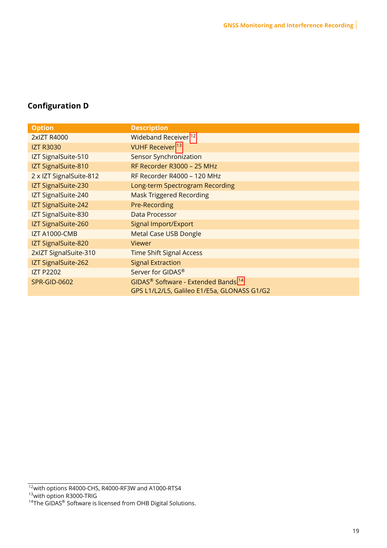# **Configuration D**

| <b>Option</b>           | <b>Description</b>                                         |
|-------------------------|------------------------------------------------------------|
| 2xIZT R4000             | Wideband Receiver <sup>12</sup>                            |
| <b>IZT R3030</b>        | VUHF Receiver <sup>13</sup>                                |
| IZT SignalSuite-510     | <b>Sensor Synchronization</b>                              |
| IZT SignalSuite-810     | RF Recorder R3000 - 25 MHz                                 |
| 2 x IZT SignalSuite-812 | RF Recorder R4000 - 120 MHz                                |
| IZT SignalSuite-230     | Long-term Spectrogram Recording                            |
| IZT SignalSuite-240     | <b>Mask Triggered Recording</b>                            |
| IZT SignalSuite-242     | Pre-Recording                                              |
| IZT SignalSuite-830     | Data Processor                                             |
| IZT SignalSuite-260     | Signal Import/Export                                       |
| <b>IZT A1000-CMB</b>    | <b>Metal Case USB Dongle</b>                               |
| IZT SignalSuite-820     | <b>Viewer</b>                                              |
| 2xIZT SignalSuite-310   | <b>Time Shift Signal Access</b>                            |
| IZT SignalSuite-262     | <b>Signal Extraction</b>                                   |
| <b>IZT P2202</b>        | Server for GIDAS®                                          |
| <b>SPR-GID-0602</b>     | GIDAS <sup>®</sup> Software - Extended Bands <sup>14</sup> |
|                         | GPS L1/L2/L5, Galileo E1/E5a, GLONASS G1/G2                |

 $12$ with options R4000-CHS, R4000-RF3W and A1000-RTS4

<sup>13</sup>with option R3000-TRIG

 $14$ The GIDAS<sup>®</sup> Software is licensed from OHB Digital Solutions.